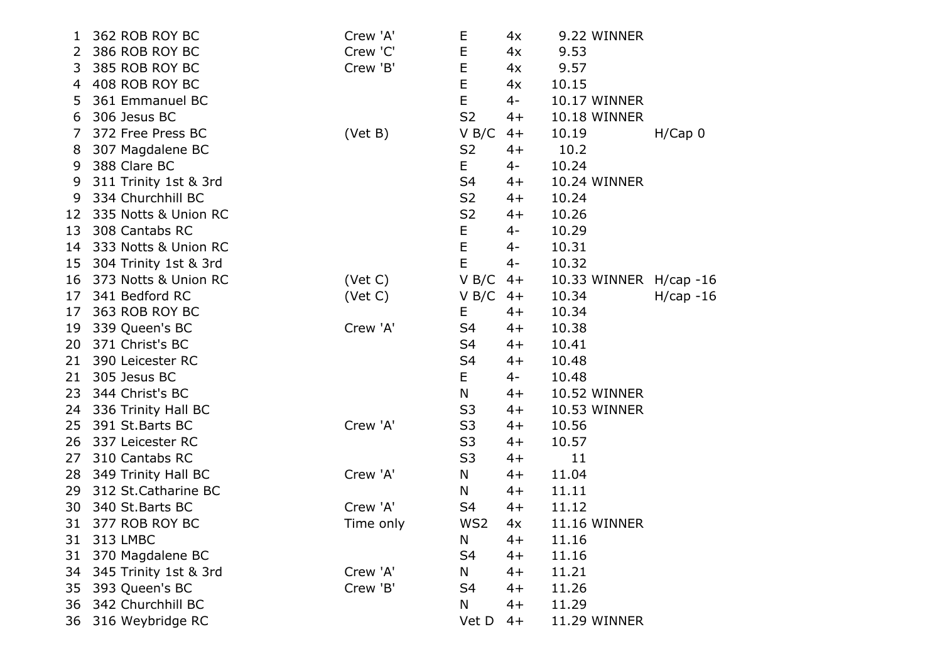| 1  | 362 ROB ROY BC        | Crew 'A'  | E              | 4x   | 9.22 WINNER         |             |
|----|-----------------------|-----------|----------------|------|---------------------|-------------|
| 2  | 386 ROB ROY BC        | Crew 'C'  | E              | 4x   | 9.53                |             |
| 3  | 385 ROB ROY BC        | Crew 'B'  | E              | 4x   | 9.57                |             |
| 4  | 408 ROB ROY BC        |           | E              | 4x   | 10.15               |             |
| 5  | 361 Emmanuel BC       |           | E              | $4-$ | <b>10.17 WINNER</b> |             |
| 6  | 306 Jesus BC          |           | S <sub>2</sub> | $4+$ | <b>10.18 WINNER</b> |             |
| 7  | 372 Free Press BC     | (Vet B)   | V B/C          | $4+$ | 10.19               | H/Cap 0     |
| 8  | 307 Magdalene BC      |           | S <sub>2</sub> | $4+$ | 10.2                |             |
| 9  | 388 Clare BC          |           | E              | $4-$ | 10.24               |             |
| 9  | 311 Trinity 1st & 3rd |           | S4             | $4+$ | 10.24 WINNER        |             |
| 9  | 334 Churchhill BC     |           | S <sub>2</sub> | $4+$ | 10.24               |             |
| 12 | 335 Notts & Union RC  |           | S <sub>2</sub> | $4+$ | 10.26               |             |
| 13 | 308 Cantabs RC        |           | E              | $4-$ | 10.29               |             |
| 14 | 333 Notts & Union RC  |           | E              | $4-$ | 10.31               |             |
| 15 | 304 Trinity 1st & 3rd |           | E              | $4-$ | 10.32               |             |
| 16 | 373 Notts & Union RC  | (Vet C)   | V B/C          | $4+$ | 10.33 WINNER        | $H/cap -16$ |
| 17 | 341 Bedford RC        | (Vet C)   | V B/C          | $4+$ | 10.34               | $H/cap -16$ |
| 17 | 363 ROB ROY BC        |           | Ε              | $4+$ | 10.34               |             |
| 19 | 339 Queen's BC        | Crew 'A'  | S <sub>4</sub> | $4+$ | 10.38               |             |
| 20 | 371 Christ's BC       |           | S <sub>4</sub> | $4+$ | 10.41               |             |
| 21 | 390 Leicester RC      |           | S <sub>4</sub> | $4+$ | 10.48               |             |
| 21 | 305 Jesus BC          |           | E.             | $4-$ | 10.48               |             |
| 23 | 344 Christ's BC       |           | N              | $4+$ | 10.52 WINNER        |             |
| 24 | 336 Trinity Hall BC   |           | S <sub>3</sub> | $4+$ | 10.53 WINNER        |             |
| 25 | 391 St. Barts BC      | Crew 'A'  | S <sub>3</sub> | 4+   | 10.56               |             |
| 26 | 337 Leicester RC      |           | S <sub>3</sub> | $4+$ | 10.57               |             |
| 27 | 310 Cantabs RC        |           | S <sub>3</sub> | $4+$ | 11                  |             |
| 28 | 349 Trinity Hall BC   | Crew 'A'  | N              | $4+$ | 11.04               |             |
| 29 | 312 St. Catharine BC  |           | N              | $4+$ | 11.11               |             |
| 30 | 340 St. Barts BC      | Crew 'A'  | S4             | $4+$ | 11.12               |             |
| 31 | 377 ROB ROY BC        | Time only | WS2            | 4x   | 11.16 WINNER        |             |
| 31 | 313 LMBC              |           | N              | $4+$ | 11.16               |             |
| 31 | 370 Magdalene BC      |           | S <sub>4</sub> | $4+$ | 11.16               |             |
| 34 | 345 Trinity 1st & 3rd | Crew 'A'  | N              | $4+$ | 11.21               |             |
| 35 | 393 Queen's BC        | Crew 'B'  | S <sub>4</sub> | $4+$ | 11.26               |             |
| 36 | 342 Churchhill BC     |           | N              | $4+$ | 11.29               |             |
| 36 | 316 Weybridge RC      |           | Vet D          | $4+$ | 11.29 WINNER        |             |
|    |                       |           |                |      |                     |             |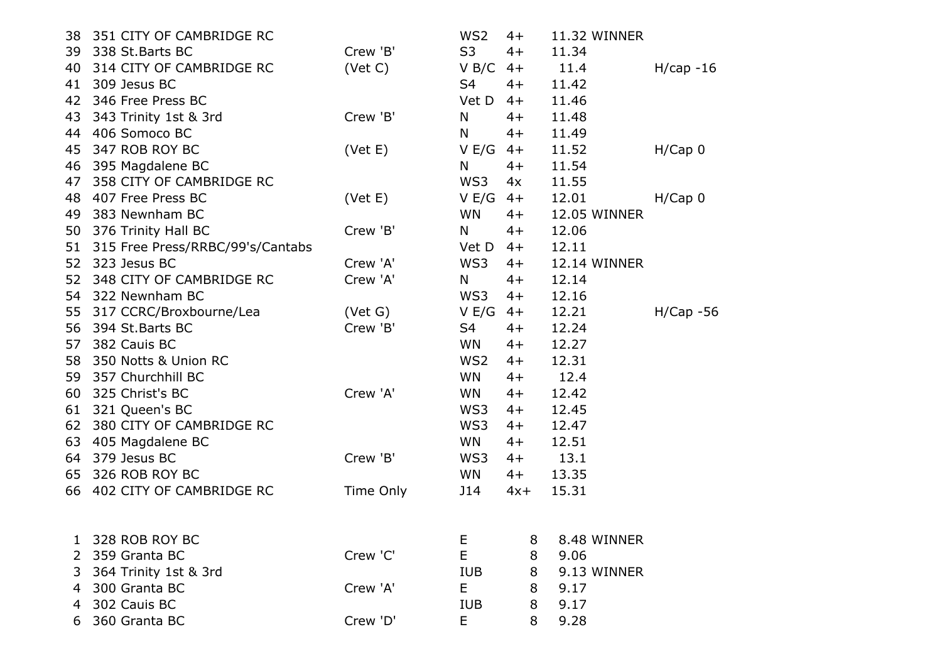| 38 | 351 CITY OF CAMBRIDGE RC            |           | WS <sub>2</sub> | $4+$  | 11.32 WINNER |              |
|----|-------------------------------------|-----------|-----------------|-------|--------------|--------------|
| 39 | 338 St.Barts BC                     | Crew 'B'  | S <sub>3</sub>  | $4+$  | 11.34        |              |
| 40 | 314 CITY OF CAMBRIDGE RC            | (Vet C)   | V B/C           | $4+$  | 11.4         | $H/cap -16$  |
| 41 | 309 Jesus BC                        |           | S4              | $4+$  | 11.42        |              |
| 42 | 346 Free Press BC                   |           | Vet D           | $4+$  | 11.46        |              |
| 43 | 343 Trinity 1st & 3rd               | Crew 'B'  | N               | $4+$  | 11.48        |              |
|    | 44 406 Somoco BC                    |           | N               | $4+$  | 11.49        |              |
| 45 | 347 ROB ROY BC                      | (Vet E)   | V E/G           | $4+$  | 11.52        | H/Cap 0      |
| 46 | 395 Magdalene BC                    |           | N               | $4+$  | 11.54        |              |
| 47 | 358 CITY OF CAMBRIDGE RC            |           | WS3             | 4x    | 11.55        |              |
| 48 | 407 Free Press BC                   | (Vet E)   | V E/G           | $4+$  | 12.01        | H/Cap 0      |
| 49 | 383 Newnham BC                      |           | <b>WN</b>       | $4+$  | 12.05 WINNER |              |
| 50 | 376 Trinity Hall BC                 | Crew 'B'  | N               | $4+$  | 12.06        |              |
|    | 51 315 Free Press/RRBC/99's/Cantabs |           | Vet D           | $4+$  | 12.11        |              |
|    | 52 323 Jesus BC                     | Crew 'A'  | WS3             | $4+$  | 12.14 WINNER |              |
| 52 | 348 CITY OF CAMBRIDGE RC            | Crew 'A'  | N               | $4+$  | 12.14        |              |
|    | 54 322 Newnham BC                   |           | WS3             | $4+$  | 12.16        |              |
| 55 | 317 CCRC/Broxbourne/Lea             | (Vet G)   | V E/G           | $4+$  | 12.21        | $H/Cap - 56$ |
| 56 | 394 St.Barts BC                     | Crew 'B'  | S4              | $4+$  | 12.24        |              |
| 57 | 382 Cauis BC                        |           | WN.             | $4+$  | 12.27        |              |
| 58 | 350 Notts & Union RC                |           | WS <sub>2</sub> | $4+$  | 12.31        |              |
| 59 | 357 Churchhill BC                   |           | WN.             | $4+$  | 12.4         |              |
| 60 | 325 Christ's BC                     | Crew 'A'  | WN.             | $4+$  | 12.42        |              |
|    | 61 321 Queen's BC                   |           | WS3             | $4+$  | 12.45        |              |
| 62 | 380 CITY OF CAMBRIDGE RC            |           | WS3             | $4+$  | 12.47        |              |
|    | 63 405 Magdalene BC                 |           | <b>WN</b>       | $4+$  | 12.51        |              |
| 64 | 379 Jesus BC                        | Crew 'B'  | WS3             | $4+$  | 13.1         |              |
|    | 65 326 ROB ROY BC                   |           | <b>WN</b>       | $4+$  | 13.35        |              |
|    | 66 402 CITY OF CAMBRIDGE RC         | Time Only | J14             | $4x+$ | 15.31        |              |
|    |                                     |           |                 |       |              |              |
|    |                                     |           |                 |       |              |              |
|    | 328 ROB ROY BC                      |           | Е               | 8     | 8.48 WINNER  |              |
| 2  | 359 Granta BC                       | Crew 'C'  | E               | 8     | 9.06         |              |
| 3  | 364 Trinity 1st & 3rd               |           | <b>IUB</b>      | 8     | 9.13 WINNER  |              |
| 4  | 300 Granta BC                       | Crew 'A'  | E               | 8     | 9.17         |              |
| 4  | 302 Cauis BC                        |           | <b>IUB</b>      | 8     | 9.17         |              |
|    | 360 Granta BC                       | Crew 'D'  | Е               | 8     | 9.28         |              |